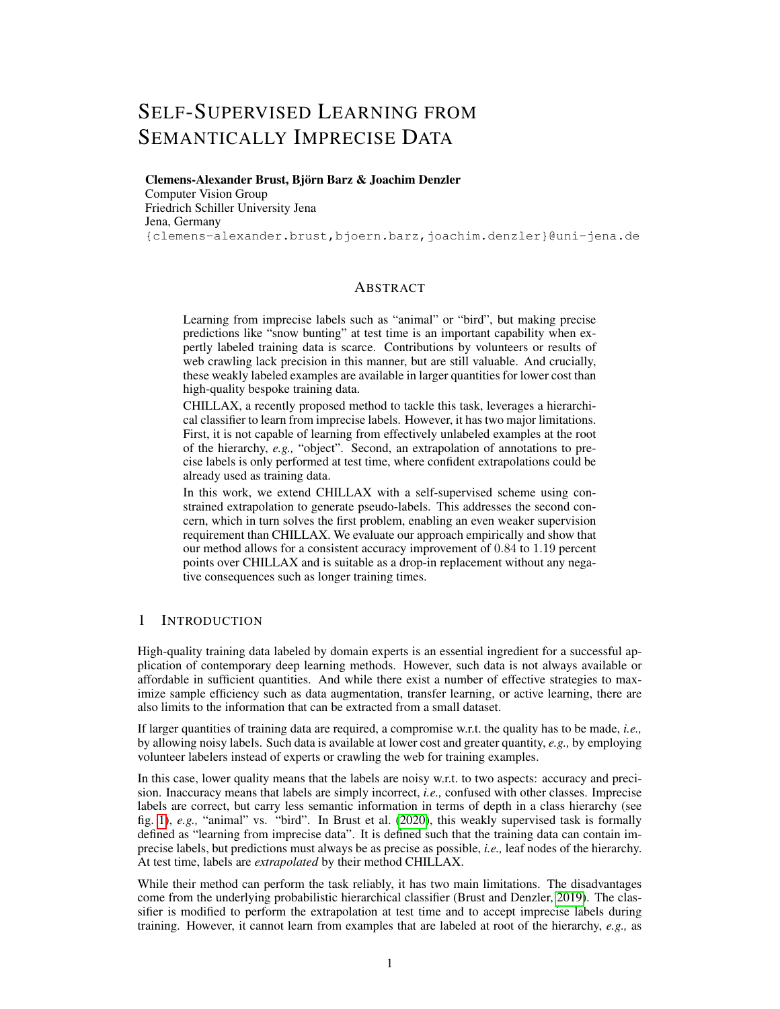# SELF-SUPERVISED LEARNING FROM SEMANTICALLY IMPRECISE DATA

Clemens-Alexander Brust, Björn Barz & Joachim Denzler Computer Vision Group Friedrich Schiller University Jena Jena, Germany {clemens-alexander.brust,bjoern.barz,joachim.denzler}@uni-jena.de

## ABSTRACT

Learning from imprecise labels such as "animal" or "bird", but making precise predictions like "snow bunting" at test time is an important capability when expertly labeled training data is scarce. Contributions by volunteers or results of web crawling lack precision in this manner, but are still valuable. And crucially, these weakly labeled examples are available in larger quantities for lower cost than high-quality bespoke training data.

CHILLAX, a recently proposed method to tackle this task, leverages a hierarchical classifier to learn from imprecise labels. However, it has two major limitations. First, it is not capable of learning from effectively unlabeled examples at the root of the hierarchy, *e.g.,* "object". Second, an extrapolation of annotations to precise labels is only performed at test time, where confident extrapolations could be already used as training data.

In this work, we extend CHILLAX with a self-supervised scheme using constrained extrapolation to generate pseudo-labels. This addresses the second concern, which in turn solves the first problem, enabling an even weaker supervision requirement than CHILLAX. We evaluate our approach empirically and show that our method allows for a consistent accuracy improvement of 0.84 to 1.19 percent points over CHILLAX and is suitable as a drop-in replacement without any negative consequences such as longer training times.

## 1 INTRODUCTION

High-quality training data labeled by domain experts is an essential ingredient for a successful application of contemporary deep learning methods. However, such data is not always available or affordable in sufficient quantities. And while there exist a number of effective strategies to maximize sample efficiency such as data augmentation, transfer learning, or active learning, there are also limits to the information that can be extracted from a small dataset.

If larger quantities of training data are required, a compromise w.r.t. the quality has to be made, *i.e.,* by allowing noisy labels. Such data is available at lower cost and greater quantity, *e.g.,* by employing volunteer labelers instead of experts or crawling the web for training examples.

In this case, lower quality means that the labels are noisy w.r.t. to two aspects: accuracy and precision. Inaccuracy means that labels are simply incorrect, *i.e.,* confused with other classes. Imprecise labels are correct, but carry less semantic information in terms of depth in a class hierarchy (see fig. [1\)](#page-2-0), *e.g.,* "animal" vs. "bird". In Brust et al. [\(2020\)](#page-8-0), this weakly supervised task is formally defined as "learning from imprecise data". It is defined such that the training data can contain imprecise labels, but predictions must always be as precise as possible, *i.e.,* leaf nodes of the hierarchy. At test time, labels are *extrapolated* by their method CHILLAX.

While their method can perform the task reliably, it has two main limitations. The disadvantages come from the underlying probabilistic hierarchical classifier (Brust and Denzler, [2019\)](#page-8-1). The classifier is modified to perform the extrapolation at test time and to accept imprecise labels during training. However, it cannot learn from examples that are labeled at root of the hierarchy, *e.g.,* as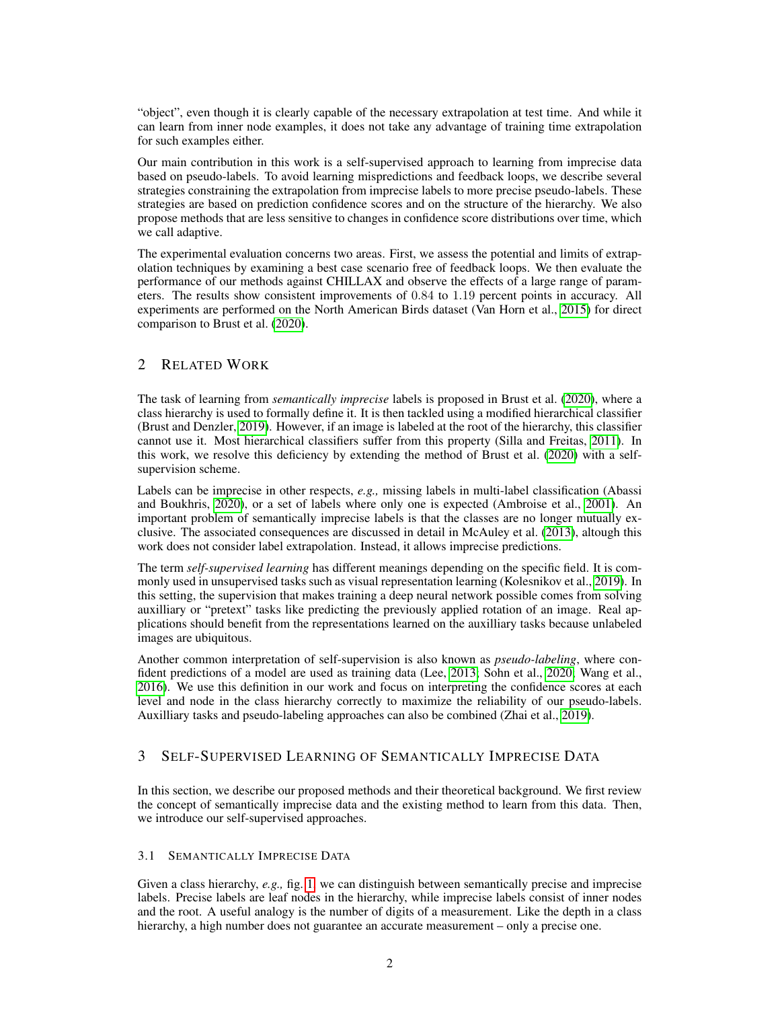"object", even though it is clearly capable of the necessary extrapolation at test time. And while it can learn from inner node examples, it does not take any advantage of training time extrapolation for such examples either.

Our main contribution in this work is a self-supervised approach to learning from imprecise data based on pseudo-labels. To avoid learning mispredictions and feedback loops, we describe several strategies constraining the extrapolation from imprecise labels to more precise pseudo-labels. These strategies are based on prediction confidence scores and on the structure of the hierarchy. We also propose methods that are less sensitive to changes in confidence score distributions over time, which we call adaptive.

The experimental evaluation concerns two areas. First, we assess the potential and limits of extrapolation techniques by examining a best case scenario free of feedback loops. We then evaluate the performance of our methods against CHILLAX and observe the effects of a large range of parameters. The results show consistent improvements of 0.84 to 1.19 percent points in accuracy. All experiments are performed on the North American Birds dataset (Van Horn et al., [2015\)](#page-8-2) for direct comparison to Brust et al. [\(2020\)](#page-8-0).

# 2 RELATED WORK

The task of learning from *semantically imprecise* labels is proposed in Brust et al. [\(2020\)](#page-8-0), where a class hierarchy is used to formally define it. It is then tackled using a modified hierarchical classifier (Brust and Denzler, [2019\)](#page-8-1). However, if an image is labeled at the root of the hierarchy, this classifier cannot use it. Most hierarchical classifiers suffer from this property (Silla and Freitas, [2011\)](#page-8-3). In this work, we resolve this deficiency by extending the method of Brust et al. [\(2020\)](#page-8-0) with a selfsupervision scheme.

Labels can be imprecise in other respects, *e.g.,* missing labels in multi-label classification (Abassi and Boukhris, [2020\)](#page-8-4), or a set of labels where only one is expected (Ambroise et al., [2001\)](#page-8-5). An important problem of semantically imprecise labels is that the classes are no longer mutually exclusive. The associated consequences are discussed in detail in McAuley et al. [\(2013\)](#page-8-6), altough this work does not consider label extrapolation. Instead, it allows imprecise predictions.

The term *self-supervised learning* has different meanings depending on the specific field. It is commonly used in unsupervised tasks such as visual representation learning (Kolesnikov et al., [2019\)](#page-8-7). In this setting, the supervision that makes training a deep neural network possible comes from solving auxilliary or "pretext" tasks like predicting the previously applied rotation of an image. Real applications should benefit from the representations learned on the auxilliary tasks because unlabeled images are ubiquitous.

Another common interpretation of self-supervision is also known as *pseudo-labeling*, where confident predictions of a model are used as training data (Lee, [2013;](#page-8-8) Sohn et al., [2020;](#page-8-9) Wang et al., [2016\)](#page-8-10). We use this definition in our work and focus on interpreting the confidence scores at each level and node in the class hierarchy correctly to maximize the reliability of our pseudo-labels. Auxilliary tasks and pseudo-labeling approaches can also be combined (Zhai et al., [2019\)](#page-8-11).

# 3 SELF-SUPERVISED LEARNING OF SEMANTICALLY IMPRECISE DATA

In this section, we describe our proposed methods and their theoretical background. We first review the concept of semantically imprecise data and the existing method to learn from this data. Then, we introduce our self-supervised approaches.

### 3.1 SEMANTICALLY IMPRECISE DATA

Given a class hierarchy, *e.g.,* fig. [1,](#page-2-0) we can distinguish between semantically precise and imprecise labels. Precise labels are leaf nodes in the hierarchy, while imprecise labels consist of inner nodes and the root. A useful analogy is the number of digits of a measurement. Like the depth in a class hierarchy, a high number does not guarantee an accurate measurement – only a precise one.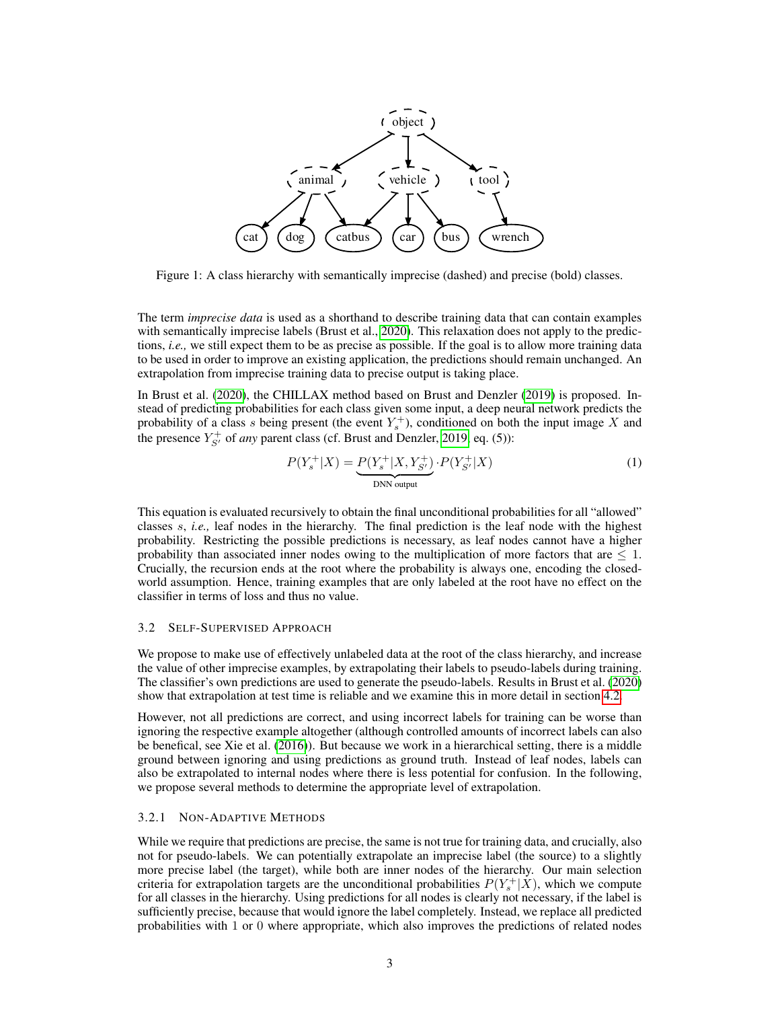<span id="page-2-0"></span>

Figure 1: A class hierarchy with semantically imprecise (dashed) and precise (bold) classes.

The term *imprecise data* is used as a shorthand to describe training data that can contain examples with semantically imprecise labels (Brust et al., [2020\)](#page-8-0). This relaxation does not apply to the predictions, *i.e.,* we still expect them to be as precise as possible. If the goal is to allow more training data to be used in order to improve an existing application, the predictions should remain unchanged. An extrapolation from imprecise training data to precise output is taking place.

In Brust et al. [\(2020\)](#page-8-0), the CHILLAX method based on Brust and Denzler [\(2019\)](#page-8-1) is proposed. Instead of predicting probabilities for each class given some input, a deep neural network predicts the probability of a class s being present (the event  $Y_s^+$ ), conditioned on both the input image X and the presence  $Y_{S'}^+$  of *any* parent class (cf. Brust and Denzler, [2019,](#page-8-1) eq. (5)):

$$
P(Y_s^+|X) = \underbrace{P(Y_s^+|X, Y_{S'}^+)}_{\text{DNN output}} \cdot P(Y_{S'}^+|X) \tag{1}
$$

This equation is evaluated recursively to obtain the final unconditional probabilities for all "allowed" classes s, *i.e.,* leaf nodes in the hierarchy. The final prediction is the leaf node with the highest probability. Restricting the possible predictions is necessary, as leaf nodes cannot have a higher probability than associated inner nodes owing to the multiplication of more factors that are  $\leq 1$ . Crucially, the recursion ends at the root where the probability is always one, encoding the closedworld assumption. Hence, training examples that are only labeled at the root have no effect on the classifier in terms of loss and thus no value.

#### 3.2 SELF-SUPERVISED APPROACH

We propose to make use of effectively unlabeled data at the root of the class hierarchy, and increase the value of other imprecise examples, by extrapolating their labels to pseudo-labels during training. The classifier's own predictions are used to generate the pseudo-labels. Results in Brust et al. [\(2020\)](#page-8-0) show that extrapolation at test time is reliable and we examine this in more detail in section [4.2.](#page-4-0)

However, not all predictions are correct, and using incorrect labels for training can be worse than ignoring the respective example altogether (although controlled amounts of incorrect labels can also be benefical, see Xie et al. [\(2016\)](#page-8-12)). But because we work in a hierarchical setting, there is a middle ground between ignoring and using predictions as ground truth. Instead of leaf nodes, labels can also be extrapolated to internal nodes where there is less potential for confusion. In the following, we propose several methods to determine the appropriate level of extrapolation.

#### <span id="page-2-1"></span>3.2.1 NON-ADAPTIVE METHODS

While we require that predictions are precise, the same is not true for training data, and crucially, also not for pseudo-labels. We can potentially extrapolate an imprecise label (the source) to a slightly more precise label (the target), while both are inner nodes of the hierarchy. Our main selection criteria for extrapolation targets are the unconditional probabilities  $P(Y_s^+|X)$ , which we compute for all classes in the hierarchy. Using predictions for all nodes is clearly not necessary, if the label is sufficiently precise, because that would ignore the label completely. Instead, we replace all predicted probabilities with 1 or 0 where appropriate, which also improves the predictions of related nodes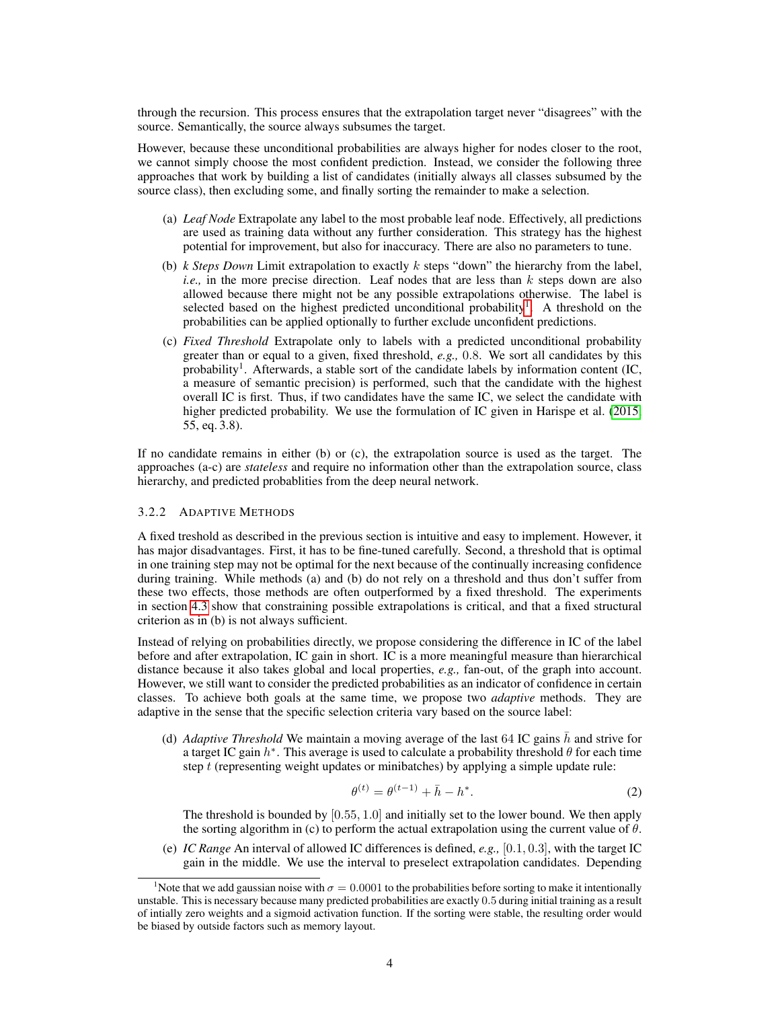through the recursion. This process ensures that the extrapolation target never "disagrees" with the source. Semantically, the source always subsumes the target.

However, because these unconditional probabilities are always higher for nodes closer to the root, we cannot simply choose the most confident prediction. Instead, we consider the following three approaches that work by building a list of candidates (initially always all classes subsumed by the source class), then excluding some, and finally sorting the remainder to make a selection.

- (a) *Leaf Node* Extrapolate any label to the most probable leaf node. Effectively, all predictions are used as training data without any further consideration. This strategy has the highest potential for improvement, but also for inaccuracy. There are also no parameters to tune.
- (b) *k Steps Down* Limit extrapolation to exactly k steps "down" the hierarchy from the label, *i.e.*, in the more precise direction. Leaf nodes that are less than k steps down are also allowed because there might not be any possible extrapolations otherwise. The label is selected based on the highest predicted unconditional probability<sup>[1](#page-3-0)</sup>. A threshold on the probabilities can be applied optionally to further exclude unconfident predictions.
- (c) *Fixed Threshold* Extrapolate only to labels with a predicted unconditional probability greater than or equal to a given, fixed threshold, *e.g.,* 0.8. We sort all candidates by this probability<sup>1</sup>. Afterwards, a stable sort of the candidate labels by information content (IC, a measure of semantic precision) is performed, such that the candidate with the highest overall IC is first. Thus, if two candidates have the same IC, we select the candidate with higher predicted probability. We use the formulation of IC given in Harispe et al. [\(2015,](#page-8-13) 55, eq. 3.8).

If no candidate remains in either (b) or (c), the extrapolation source is used as the target. The approaches (a-c) are *stateless* and require no information other than the extrapolation source, class hierarchy, and predicted probablities from the deep neural network.

#### <span id="page-3-1"></span>3.2.2 ADAPTIVE METHODS

A fixed treshold as described in the previous section is intuitive and easy to implement. However, it has major disadvantages. First, it has to be fine-tuned carefully. Second, a threshold that is optimal in one training step may not be optimal for the next because of the continually increasing confidence during training. While methods (a) and (b) do not rely on a threshold and thus don't suffer from these two effects, those methods are often outperformed by a fixed threshold. The experiments in section [4.3](#page-5-0) show that constraining possible extrapolations is critical, and that a fixed structural criterion as in (b) is not always sufficient.

Instead of relying on probabilities directly, we propose considering the difference in IC of the label before and after extrapolation, IC gain in short. IC is a more meaningful measure than hierarchical distance because it also takes global and local properties, *e.g.,* fan-out, of the graph into account. However, we still want to consider the predicted probabilities as an indicator of confidence in certain classes. To achieve both goals at the same time, we propose two *adaptive* methods. They are adaptive in the sense that the specific selection criteria vary based on the source label:

(d) *Adaptive Threshold* We maintain a moving average of the last 64 IC gains  $\bar{h}$  and strive for a target IC gain  $h^*$ . This average is used to calculate a probability threshold  $\theta$  for each time step  $t$  (representing weight updates or minibatches) by applying a simple update rule:

$$
\theta^{(t)} = \theta^{(t-1)} + \bar{h} - h^*.
$$
 (2)

The threshold is bounded by  $[0.55, 1.0]$  and initially set to the lower bound. We then apply the sorting algorithm in (c) to perform the actual extrapolation using the current value of  $\theta$ .

(e) *IC Range* An interval of allowed IC differences is defined, *e.g.,* [0.1, 0.3], with the target IC gain in the middle. We use the interval to preselect extrapolation candidates. Depending

<span id="page-3-0"></span><sup>&</sup>lt;sup>1</sup>Note that we add gaussian noise with  $\sigma = 0.0001$  to the probabilities before sorting to make it intentionally unstable. This is necessary because many predicted probabilities are exactly 0.5 during initial training as a result of intially zero weights and a sigmoid activation function. If the sorting were stable, the resulting order would be biased by outside factors such as memory layout.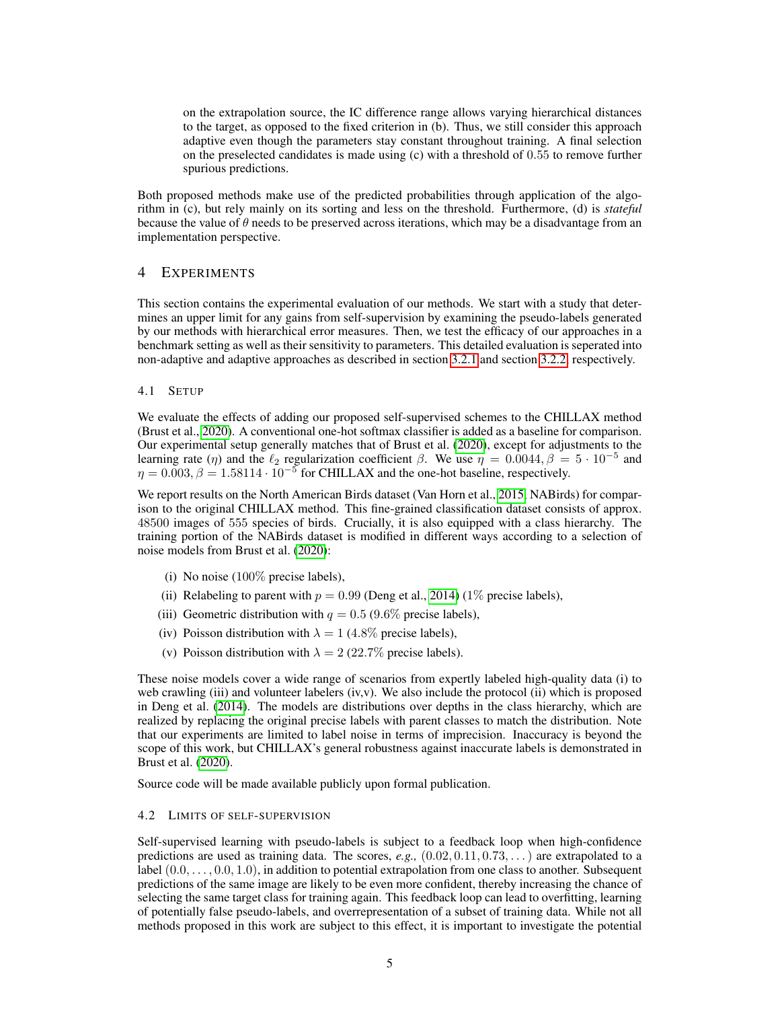on the extrapolation source, the IC difference range allows varying hierarchical distances to the target, as opposed to the fixed criterion in (b). Thus, we still consider this approach adaptive even though the parameters stay constant throughout training. A final selection on the preselected candidates is made using (c) with a threshold of 0.55 to remove further spurious predictions.

Both proposed methods make use of the predicted probabilities through application of the algorithm in (c), but rely mainly on its sorting and less on the threshold. Furthermore, (d) is *stateful* because the value of  $\theta$  needs to be preserved across iterations, which may be a disadvantage from an implementation perspective.

# 4 EXPERIMENTS

This section contains the experimental evaluation of our methods. We start with a study that determines an upper limit for any gains from self-supervision by examining the pseudo-labels generated by our methods with hierarchical error measures. Then, we test the efficacy of our approaches in a benchmark setting as well as their sensitivity to parameters. This detailed evaluation is seperated into non-adaptive and adaptive approaches as described in section [3.2.1](#page-2-1) and section [3.2.2,](#page-3-1) respectively.

#### 4.1 SETUP

We evaluate the effects of adding our proposed self-supervised schemes to the CHILLAX method (Brust et al., [2020\)](#page-8-0). A conventional one-hot softmax classifier is added as a baseline for comparison. Our experimental setup generally matches that of Brust et al. [\(2020\)](#page-8-0), except for adjustments to the learning rate (η) and the  $\ell_2$  regularization coefficient  $\beta$ . We use  $\eta = 0.0044, \beta = 5 \cdot 10^{-5}$  and  $\eta = 0.003, \beta = 1.58114 \cdot 10^{-5}$  for CHILLAX and the one-hot baseline, respectively.

We report results on the North American Birds dataset (Van Horn et al., [2015,](#page-8-2) NABirds) for comparison to the original CHILLAX method. This fine-grained classification dataset consists of approx. 48500 images of 555 species of birds. Crucially, it is also equipped with a class hierarchy. The training portion of the NABirds dataset is modified in different ways according to a selection of noise models from Brust et al. [\(2020\)](#page-8-0):

- (i) No noise  $(100\%$  precise labels),
- (ii) Relabeling to parent with  $p = 0.99$  (Deng et al., [2014\)](#page-8-14) (1% precise labels),
- (iii) Geometric distribution with  $q = 0.5$  (9.6% precise labels),
- (iv) Poisson distribution with  $\lambda = 1$  (4.8% precise labels),
- (v) Poisson distribution with  $\lambda = 2$  (22.7% precise labels).

These noise models cover a wide range of scenarios from expertly labeled high-quality data (i) to web crawling (iii) and volunteer labelers (iv,v). We also include the protocol (ii) which is proposed in Deng et al. [\(2014\)](#page-8-14). The models are distributions over depths in the class hierarchy, which are realized by replacing the original precise labels with parent classes to match the distribution. Note that our experiments are limited to label noise in terms of imprecision. Inaccuracy is beyond the scope of this work, but CHILLAX's general robustness against inaccurate labels is demonstrated in Brust et al. [\(2020\)](#page-8-0).

Source code will be made available publicly upon formal publication.

#### <span id="page-4-0"></span>4.2 LIMITS OF SELF-SUPERVISION

Self-supervised learning with pseudo-labels is subject to a feedback loop when high-confidence predictions are used as training data. The scores, *e.g.,* (0.02, 0.11, 0.73, . . .) are extrapolated to a label  $(0.0, \ldots, 0.0, 1.0)$ , in addition to potential extrapolation from one class to another. Subsequent predictions of the same image are likely to be even more confident, thereby increasing the chance of selecting the same target class for training again. This feedback loop can lead to overfitting, learning of potentially false pseudo-labels, and overrepresentation of a subset of training data. While not all methods proposed in this work are subject to this effect, it is important to investigate the potential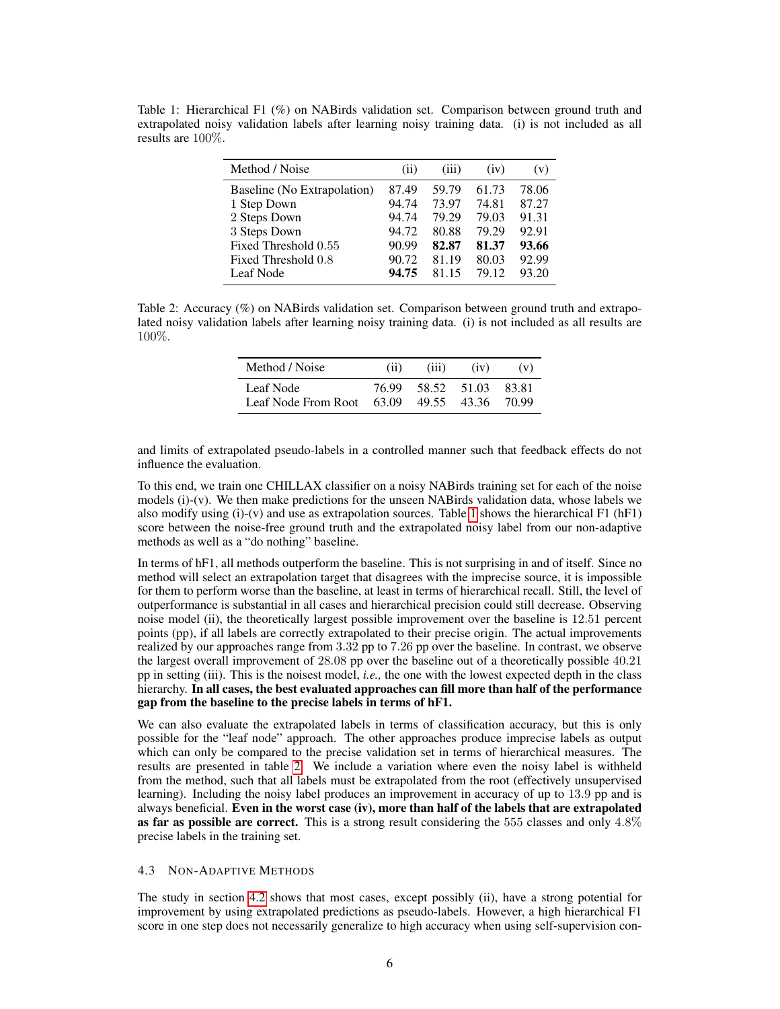<span id="page-5-1"></span>Table 1: Hierarchical F1 (%) on NABirds validation set. Comparison between ground truth and extrapolated noisy validation labels after learning noisy training data. (i) is not included as all results are 100%.

| Method / Noise                   | (i)            | (iii)          | (iv)           | (v)            |
|----------------------------------|----------------|----------------|----------------|----------------|
| Baseline (No Extrapolation)      | 87.49          | 59.79          | 61.73          | 78.06          |
| 1 Step Down<br>2 Steps Down      | 94.74<br>94.74 | 73.97<br>79.29 | 74.81<br>79.03 | 87.27<br>91.31 |
| 3 Steps Down                     | 94.72          | 80.88          | 79.29          | 92.91          |
| Fixed Threshold 0.55             | 90.99          | 82.87          | 81.37          | 93.66          |
| Fixed Threshold 0.8<br>Leaf Node | 90.72<br>94.75 | 81.19<br>81 15 | 80.03<br>79.12 | 92.99<br>93.20 |

<span id="page-5-2"></span>Table 2: Accuracy (%) on NABirds validation set. Comparison between ground truth and extrapolated noisy validation labels after learning noisy training data. (i) is not included as all results are 100%.

| Method / Noise                                       | (i) | (iii)             | (iv) | (v)             |
|------------------------------------------------------|-----|-------------------|------|-----------------|
| Leaf Node<br>Leaf Node From Root $63.09$ 49.55 43.36 |     | 76.99 58.52 51.03 |      | 83.81<br>-70.99 |

and limits of extrapolated pseudo-labels in a controlled manner such that feedback effects do not influence the evaluation.

To this end, we train one CHILLAX classifier on a noisy NABirds training set for each of the noise models (i)-(v). We then make predictions for the unseen NABirds validation data, whose labels we also modify using  $(i)-(v)$  and use as extrapolation sources. Table [1](#page-5-1) shows the hierarchical F1 (hF1) score between the noise-free ground truth and the extrapolated noisy label from our non-adaptive methods as well as a "do nothing" baseline.

In terms of hF1, all methods outperform the baseline. This is not surprising in and of itself. Since no method will select an extrapolation target that disagrees with the imprecise source, it is impossible for them to perform worse than the baseline, at least in terms of hierarchical recall. Still, the level of outperformance is substantial in all cases and hierarchical precision could still decrease. Observing noise model (ii), the theoretically largest possible improvement over the baseline is 12.51 percent points (pp), if all labels are correctly extrapolated to their precise origin. The actual improvements realized by our approaches range from 3.32 pp to 7.26 pp over the baseline. In contrast, we observe the largest overall improvement of 28.08 pp over the baseline out of a theoretically possible 40.21 pp in setting (iii). This is the noisest model, *i.e.,* the one with the lowest expected depth in the class hierarchy. In all cases, the best evaluated approaches can fill more than half of the performance gap from the baseline to the precise labels in terms of hF1.

We can also evaluate the extrapolated labels in terms of classification accuracy, but this is only possible for the "leaf node" approach. The other approaches produce imprecise labels as output which can only be compared to the precise validation set in terms of hierarchical measures. The results are presented in table [2.](#page-5-2) We include a variation where even the noisy label is withheld from the method, such that all labels must be extrapolated from the root (effectively unsupervised learning). Including the noisy label produces an improvement in accuracy of up to 13.9 pp and is always beneficial. Even in the worst case (iv), more than half of the labels that are extrapolated as far as possible are correct. This is a strong result considering the 555 classes and only  $4.8\%$ precise labels in the training set.

#### <span id="page-5-0"></span>4.3 NON-ADAPTIVE METHODS

The study in section [4.2](#page-4-0) shows that most cases, except possibly (ii), have a strong potential for improvement by using extrapolated predictions as pseudo-labels. However, a high hierarchical F1 score in one step does not necessarily generalize to high accuracy when using self-supervision con-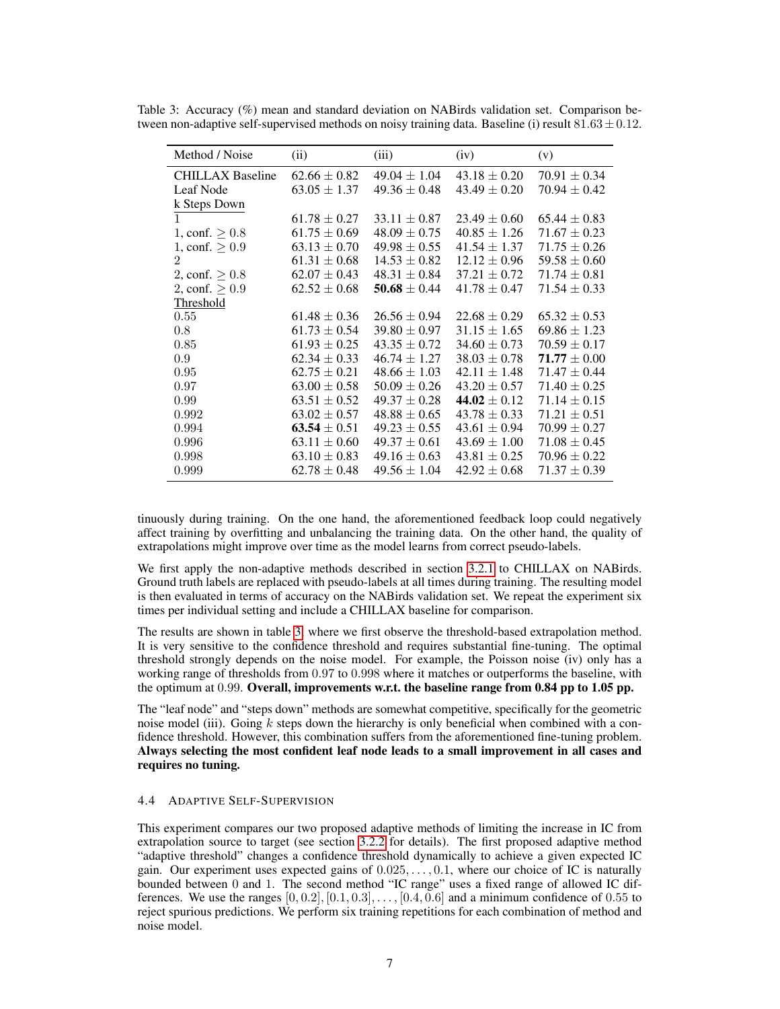| Method / Noise          | (ii)             | (iii)            | (iv)             | (v)              |
|-------------------------|------------------|------------------|------------------|------------------|
| <b>CHILLAX Baseline</b> | $62.66 \pm 0.82$ | $49.04 \pm 1.04$ | $43.18 \pm 0.20$ | $70.91 \pm 0.34$ |
| Leaf Node               | $63.05 \pm 1.37$ | $49.36 \pm 0.48$ | $43.49 \pm 0.20$ | $70.94 \pm 0.42$ |
| k Steps Down            |                  |                  |                  |                  |
| 1                       | $61.78 \pm 0.27$ | $33.11 \pm 0.87$ | $23.49 \pm 0.60$ | $65.44 \pm 0.83$ |
| 1, conf. $> 0.8$        | $61.75 \pm 0.69$ | $48.09 \pm 0.75$ | $40.85 \pm 1.26$ | $71.67 \pm 0.23$ |
| 1, conf. $\geq 0.9$     | $63.13 \pm 0.70$ | $49.98 \pm 0.55$ | $41.54 \pm 1.37$ | $71.75 \pm 0.26$ |
| 2                       | $61.31 \pm 0.68$ | $14.53 \pm 0.82$ | $12.12 \pm 0.96$ | $59.58 \pm 0.60$ |
| 2, conf. $\geq 0.8$     | $62.07 \pm 0.43$ | $48.31 \pm 0.84$ | $37.21 \pm 0.72$ | $71.74 \pm 0.81$ |
| 2, conf. $\geq 0.9$     | $62.52 \pm 0.68$ | 50.68 $\pm$ 0.44 | $41.78 \pm 0.47$ | $71.54 \pm 0.33$ |
| Threshold               |                  |                  |                  |                  |
| 0.55                    | $61.48 \pm 0.36$ | $26.56 \pm 0.94$ | $22.68 \pm 0.29$ | $65.32 \pm 0.53$ |
| 0.8                     | $61.73 \pm 0.54$ | $39.80 \pm 0.97$ | $31.15 \pm 1.65$ | $69.86 \pm 1.23$ |
| 0.85                    | $61.93 \pm 0.25$ | $43.35 \pm 0.72$ | $34.60 \pm 0.73$ | $70.59 \pm 0.17$ |
| 0.9                     | $62.34 \pm 0.33$ | $46.74 \pm 1.27$ | $38.03 \pm 0.78$ | $71.77 \pm 0.00$ |
| 0.95                    | $62.75 \pm 0.21$ | $48.66 \pm 1.03$ | $42.11 \pm 1.48$ | $71.47 \pm 0.44$ |
| 0.97                    | $63.00 \pm 0.58$ | $50.09 \pm 0.26$ | $43.20 \pm 0.57$ | $71.40 \pm 0.25$ |
| 0.99                    | $63.51 \pm 0.52$ | $49.37 \pm 0.28$ | 44.02 $\pm$ 0.12 | $71.14 \pm 0.15$ |
| 0.992                   | $63.02 \pm 0.57$ | $48.88 \pm 0.65$ | $43.78 \pm 0.33$ | $71.21 \pm 0.51$ |
| 0.994                   | 63.54 $\pm$ 0.51 | $49.23 \pm 0.55$ | $43.61 \pm 0.94$ | $70.99 \pm 0.27$ |
| 0.996                   | $63.11 \pm 0.60$ | $49.37 \pm 0.61$ | $43.69 \pm 1.00$ | $71.08 \pm 0.45$ |
| 0.998                   | $63.10 \pm 0.83$ | $49.16 \pm 0.63$ | $43.81 \pm 0.25$ | $70.96 \pm 0.22$ |
| 0.999                   | $62.78 \pm 0.48$ | $49.56 \pm 1.04$ | $42.92 \pm 0.68$ | $71.37 \pm 0.39$ |

<span id="page-6-0"></span>Table 3: Accuracy (%) mean and standard deviation on NABirds validation set. Comparison between non-adaptive self-supervised methods on noisy training data. Baseline (i) result  $81.63 \pm 0.12$ .

tinuously during training. On the one hand, the aforementioned feedback loop could negatively affect training by overfitting and unbalancing the training data. On the other hand, the quality of extrapolations might improve over time as the model learns from correct pseudo-labels.

We first apply the non-adaptive methods described in section [3.2.1](#page-2-1) to CHILLAX on NABirds. Ground truth labels are replaced with pseudo-labels at all times during training. The resulting model is then evaluated in terms of accuracy on the NABirds validation set. We repeat the experiment six times per individual setting and include a CHILLAX baseline for comparison.

The results are shown in table [3,](#page-6-0) where we first observe the threshold-based extrapolation method. It is very sensitive to the confidence threshold and requires substantial fine-tuning. The optimal threshold strongly depends on the noise model. For example, the Poisson noise (iv) only has a working range of thresholds from 0.97 to 0.998 where it matches or outperforms the baseline, with the optimum at 0.99. Overall, improvements w.r.t. the baseline range from 0.84 pp to 1.05 pp.

The "leaf node" and "steps down" methods are somewhat competitive, specifically for the geometric noise model (iii). Going  $k$  steps down the hierarchy is only beneficial when combined with a confidence threshold. However, this combination suffers from the aforementioned fine-tuning problem. Always selecting the most confident leaf node leads to a small improvement in all cases and requires no tuning.

#### 4.4 ADAPTIVE SELF-SUPERVISION

This experiment compares our two proposed adaptive methods of limiting the increase in IC from extrapolation source to target (see section [3.2.2](#page-3-1) for details). The first proposed adaptive method "adaptive threshold" changes a confidence threshold dynamically to achieve a given expected IC gain. Our experiment uses expected gains of  $0.025, \ldots, 0.1$ , where our choice of IC is naturally bounded between 0 and 1. The second method "IC range" uses a fixed range of allowed IC differences. We use the ranges  $[0, 0.2]$ ,  $[0.1, 0.3]$ , ...,  $[0.4, 0.6]$  and a minimum confidence of 0.55 to reject spurious predictions. We perform six training repetitions for each combination of method and noise model.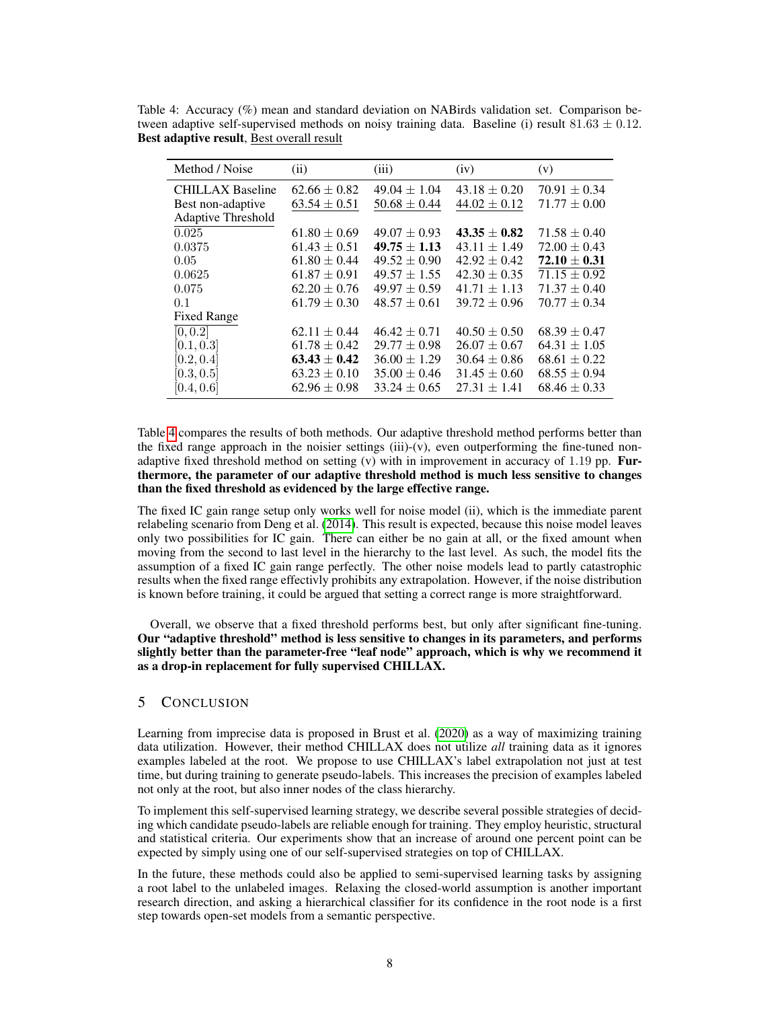<span id="page-7-0"></span>Table 4: Accuracy (%) mean and standard deviation on NABirds validation set. Comparison between adaptive self-supervised methods on noisy training data. Baseline (i) result  $81.63 \pm 0.12$ . Best adaptive result, Best overall result

| Method / Noise          | (ii)             | (iii)            | (iv)             | (v)              |
|-------------------------|------------------|------------------|------------------|------------------|
| <b>CHILLAX Baseline</b> | $62.66 \pm 0.82$ | $49.04 \pm 1.04$ | $43.18 \pm 0.20$ | $70.91 \pm 0.34$ |
| Best non-adaptive       | $63.54 \pm 0.51$ | $50.68 \pm 0.44$ | $44.02 \pm 0.12$ | $71.77 \pm 0.00$ |
| Adaptive Threshold      |                  |                  |                  |                  |
| 0.025                   | $61.80 \pm 0.69$ | $49.07 \pm 0.93$ | $43.35 \pm 0.82$ | $71.58 \pm 0.40$ |
| 0.0375                  | $61.43 \pm 0.51$ | $49.75 \pm 1.13$ | $43.11 \pm 1.49$ | $72.00 \pm 0.43$ |
| 0.05                    | $61.80 \pm 0.44$ | $49.52 \pm 0.90$ | $42.92 \pm 0.42$ | $72.10 \pm 0.31$ |
| 0.0625                  | $61.87 \pm 0.91$ | $49.57 \pm 1.55$ | $42.30 \pm 0.35$ | $71.15 \pm 0.92$ |
| 0.075                   | $62.20 \pm 0.76$ | $49.97 \pm 0.59$ | $41.71 \pm 1.13$ | $71.37 \pm 0.40$ |
| 0.1                     | $61.79 \pm 0.30$ | $48.57 \pm 0.61$ | $39.72 \pm 0.96$ | $70.77 \pm 0.34$ |
| <b>Fixed Range</b>      |                  |                  |                  |                  |
| [0, 0.2]                | $62.11 \pm 0.44$ | $46.42 \pm 0.71$ | $40.50 \pm 0.50$ | $68.39 \pm 0.47$ |
| [0.1, 0.3]              | $61.78 \pm 0.42$ | $29.77 \pm 0.98$ | $26.07 \pm 0.67$ | $64.31 \pm 1.05$ |
| [0.2, 0.4]              | $63.43 \pm 0.42$ | $36.00 \pm 1.29$ | $30.64 \pm 0.86$ | $68.61 \pm 0.22$ |
| [0.3, 0.5]              | $63.23 \pm 0.10$ | $35.00 \pm 0.46$ | $31.45 \pm 0.60$ | $68.55 \pm 0.94$ |
| [0.4, 0.6]              | $62.96 \pm 0.98$ | $33.24 \pm 0.65$ | $27.31 \pm 1.41$ | $68.46 \pm 0.33$ |

Table [4](#page-7-0) compares the results of both methods. Our adaptive threshold method performs better than the fixed range approach in the noisier settings (iii)- $(v)$ , even outperforming the fine-tuned nonadaptive fixed threshold method on setting  $(v)$  with in improvement in accuracy of 1.19 pp. **Fur**thermore, the parameter of our adaptive threshold method is much less sensitive to changes than the fixed threshold as evidenced by the large effective range.

The fixed IC gain range setup only works well for noise model (ii), which is the immediate parent relabeling scenario from Deng et al. [\(2014\)](#page-8-14). This result is expected, because this noise model leaves only two possibilities for IC gain. There can either be no gain at all, or the fixed amount when moving from the second to last level in the hierarchy to the last level. As such, the model fits the assumption of a fixed IC gain range perfectly. The other noise models lead to partly catastrophic results when the fixed range effectivly prohibits any extrapolation. However, if the noise distribution is known before training, it could be argued that setting a correct range is more straightforward.

Overall, we observe that a fixed threshold performs best, but only after significant fine-tuning. Our "adaptive threshold" method is less sensitive to changes in its parameters, and performs slightly better than the parameter-free "leaf node" approach, which is why we recommend it as a drop-in replacement for fully supervised CHILLAX.

## 5 CONCLUSION

Learning from imprecise data is proposed in Brust et al. [\(2020\)](#page-8-0) as a way of maximizing training data utilization. However, their method CHILLAX does not utilize *all* training data as it ignores examples labeled at the root. We propose to use CHILLAX's label extrapolation not just at test time, but during training to generate pseudo-labels. This increases the precision of examples labeled not only at the root, but also inner nodes of the class hierarchy.

To implement this self-supervised learning strategy, we describe several possible strategies of deciding which candidate pseudo-labels are reliable enough for training. They employ heuristic, structural and statistical criteria. Our experiments show that an increase of around one percent point can be expected by simply using one of our self-supervised strategies on top of CHILLAX.

In the future, these methods could also be applied to semi-supervised learning tasks by assigning a root label to the unlabeled images. Relaxing the closed-world assumption is another important research direction, and asking a hierarchical classifier for its confidence in the root node is a first step towards open-set models from a semantic perspective.